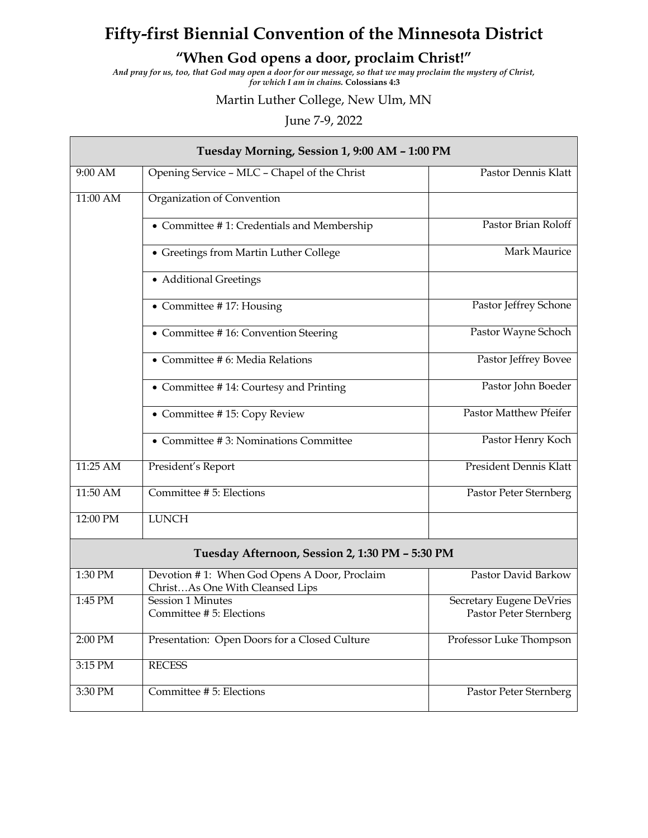## **Fifty-first Biennial Convention of the Minnesota District**

## **"When God opens a door, proclaim Christ!"**

*And pray for us, too, that God may open a door for our message, so that we may proclaim the mystery of Christ, for which I am in chains.* **Colossians 4:3**

## Martin Luther College, New Ulm, MN

## June 7-9, 2022

| Tuesday Morning, Session 1, 9:00 AM - 1:00 PM   |                                                                                 |                                                    |  |  |
|-------------------------------------------------|---------------------------------------------------------------------------------|----------------------------------------------------|--|--|
| 9:00 AM                                         | Opening Service - MLC - Chapel of the Christ                                    | Pastor Dennis Klatt                                |  |  |
| 11:00 AM                                        | Organization of Convention                                                      |                                                    |  |  |
|                                                 | • Committee #1: Credentials and Membership                                      | Pastor Brian Roloff                                |  |  |
|                                                 | • Greetings from Martin Luther College                                          | Mark Maurice                                       |  |  |
|                                                 | • Additional Greetings                                                          |                                                    |  |  |
|                                                 | • Committee #17: Housing                                                        | Pastor Jeffrey Schone                              |  |  |
|                                                 | • Committee #16: Convention Steering                                            | Pastor Wayne Schoch                                |  |  |
|                                                 | • Committee # 6: Media Relations                                                | Pastor Jeffrey Bovee                               |  |  |
|                                                 | • Committee #14: Courtesy and Printing                                          | Pastor John Boeder                                 |  |  |
|                                                 | • Committee #15: Copy Review                                                    | Pastor Matthew Pfeifer                             |  |  |
|                                                 | • Committee #3: Nominations Committee                                           | Pastor Henry Koch                                  |  |  |
| 11:25 AM                                        | President's Report                                                              | <b>President Dennis Klatt</b>                      |  |  |
| 11:50 AM                                        | Committee # 5: Elections                                                        | Pastor Peter Sternberg                             |  |  |
| 12:00 PM                                        | <b>LUNCH</b>                                                                    |                                                    |  |  |
| Tuesday Afternoon, Session 2, 1:30 PM - 5:30 PM |                                                                                 |                                                    |  |  |
| 1:30 PM                                         | Devotion #1: When God Opens A Door, Proclaim<br>ChristAs One With Cleansed Lips | Pastor David Barkow                                |  |  |
| 1:45 PM                                         | <b>Session 1 Minutes</b><br>Committee # 5: Elections                            | Secretary Eugene DeVries<br>Pastor Peter Sternberg |  |  |
| 2:00 PM                                         | Presentation: Open Doors for a Closed Culture                                   | Professor Luke Thompson                            |  |  |
| 3:15 PM                                         | <b>RECESS</b>                                                                   |                                                    |  |  |
| 3:30 PM                                         | Committee # 5: Elections                                                        | Pastor Peter Sternberg                             |  |  |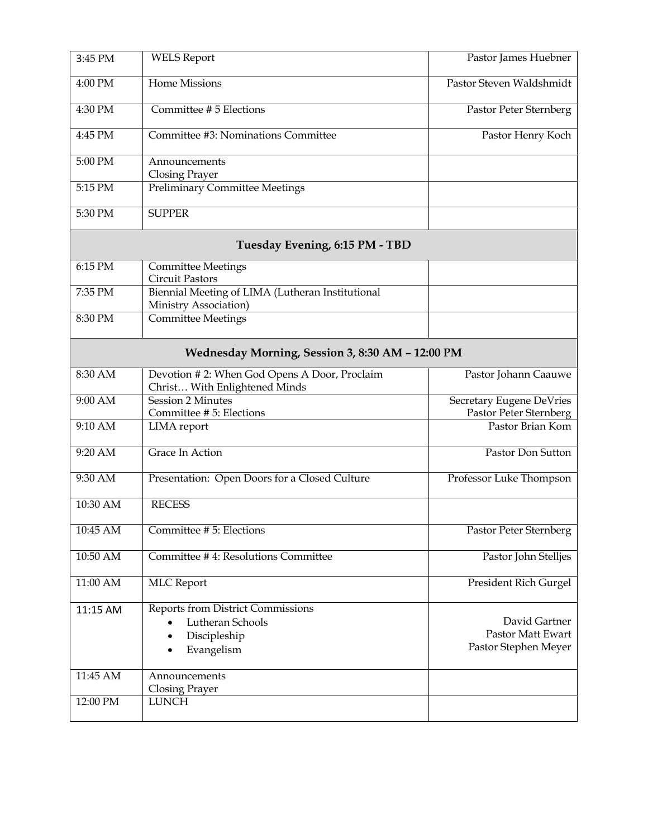| 3:45 PM                                          | <b>WELS Report</b>                                                                  | Pastor James Huebner                                              |  |  |  |
|--------------------------------------------------|-------------------------------------------------------------------------------------|-------------------------------------------------------------------|--|--|--|
| 4:00 PM                                          | <b>Home Missions</b>                                                                | Pastor Steven Waldshmidt                                          |  |  |  |
| 4:30 PM                                          | Committee # 5 Elections                                                             | Pastor Peter Sternberg                                            |  |  |  |
| 4:45 PM                                          | Committee #3: Nominations Committee                                                 | Pastor Henry Koch                                                 |  |  |  |
| 5:00 PM                                          | Announcements<br><b>Closing Prayer</b>                                              |                                                                   |  |  |  |
| 5:15 PM                                          | <b>Preliminary Committee Meetings</b>                                               |                                                                   |  |  |  |
| 5:30 PM                                          | <b>SUPPER</b>                                                                       |                                                                   |  |  |  |
| Tuesday Evening, 6:15 PM - TBD                   |                                                                                     |                                                                   |  |  |  |
| 6:15 PM                                          | <b>Committee Meetings</b><br><b>Circuit Pastors</b>                                 |                                                                   |  |  |  |
| 7:35 PM                                          | Biennial Meeting of LIMA (Lutheran Institutional<br>Ministry Association)           |                                                                   |  |  |  |
| 8:30 PM                                          | <b>Committee Meetings</b>                                                           |                                                                   |  |  |  |
| Wednesday Morning, Session 3, 8:30 AM - 12:00 PM |                                                                                     |                                                                   |  |  |  |
| $8:30$ AM                                        | Devotion #2: When God Opens A Door, Proclaim<br>Christ With Enlightened Minds       | Pastor Johann Caauwe                                              |  |  |  |
| 9:00 AM                                          | <b>Session 2 Minutes</b><br>Committee # 5: Elections                                | Secretary Eugene DeVries<br>Pastor Peter Sternberg                |  |  |  |
| 9:10 AM                                          | <b>LIMA</b> report                                                                  | Pastor Brian Kom                                                  |  |  |  |
| 9:20 AM                                          | Grace In Action                                                                     | Pastor Don Sutton                                                 |  |  |  |
| 9:30 AM                                          | Presentation: Open Doors for a Closed Culture                                       | Professor Luke Thompson                                           |  |  |  |
| 10:30 AM                                         | <b>RECESS</b>                                                                       |                                                                   |  |  |  |
| 10:45 AM                                         | Committee # 5: Elections                                                            | Pastor Peter Sternberg                                            |  |  |  |
| 10:50 AM                                         | Committee #4: Resolutions Committee                                                 | Pastor John Stelljes                                              |  |  |  |
| 11:00 AM                                         | <b>MLC</b> Report                                                                   | President Rich Gurgel                                             |  |  |  |
| 11:15 AM                                         | Reports from District Commissions<br>Lutheran Schools<br>Discipleship<br>Evangelism | David Gartner<br><b>Pastor Matt Ewart</b><br>Pastor Stephen Meyer |  |  |  |
| 11:45 AM                                         | Announcements<br>Closing Prayer                                                     |                                                                   |  |  |  |
| 12:00 PM                                         | <b>LUNCH</b>                                                                        |                                                                   |  |  |  |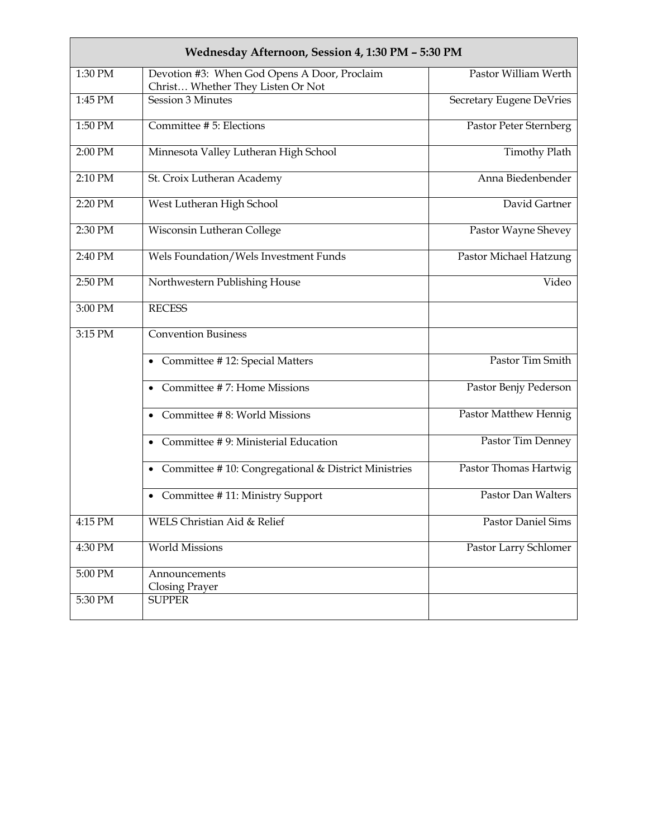| Wednesday Afternoon, Session 4, 1:30 PM - 5:30 PM |                                                                                   |                          |  |  |
|---------------------------------------------------|-----------------------------------------------------------------------------------|--------------------------|--|--|
| 1:30 PM                                           | Devotion #3: When God Opens A Door, Proclaim<br>Christ Whether They Listen Or Not | Pastor William Werth     |  |  |
| 1:45 PM                                           | Session 3 Minutes                                                                 | Secretary Eugene DeVries |  |  |
| 1:50 PM                                           | Committee # 5: Elections                                                          | Pastor Peter Sternberg   |  |  |
| 2:00 PM                                           | Minnesota Valley Lutheran High School                                             | <b>Timothy Plath</b>     |  |  |
| 2:10 PM                                           | St. Croix Lutheran Academy                                                        | Anna Biedenbender        |  |  |
| 2:20 PM                                           | West Lutheran High School                                                         | David Gartner            |  |  |
| 2:30 PM                                           | Wisconsin Lutheran College                                                        | Pastor Wayne Shevey      |  |  |
| 2:40 PM                                           | Wels Foundation/Wels Investment Funds                                             | Pastor Michael Hatzung   |  |  |
| 2:50 PM                                           | Northwestern Publishing House                                                     | Video                    |  |  |
| 3:00 PM                                           | <b>RECESS</b>                                                                     |                          |  |  |
| 3:15 PM                                           | <b>Convention Business</b>                                                        |                          |  |  |
|                                                   | • Committee #12: Special Matters                                                  | Pastor Tim Smith         |  |  |
|                                                   | • Committee #7: Home Missions                                                     | Pastor Benjy Pederson    |  |  |
|                                                   | • Committee #8: World Missions                                                    | Pastor Matthew Hennig    |  |  |
|                                                   | • Committee #9: Ministerial Education                                             | Pastor Tim Denney        |  |  |
|                                                   | • Committee #10: Congregational & District Ministries                             | Pastor Thomas Hartwig    |  |  |
|                                                   | • Committee #11: Ministry Support                                                 | Pastor Dan Walters       |  |  |
| 4:15 PM                                           | WELS Christian Aid & Relief                                                       | Pastor Daniel Sims       |  |  |
| 4:30 PM                                           | <b>World Missions</b>                                                             | Pastor Larry Schlomer    |  |  |
| 5:00 PM                                           | Announcements<br><b>Closing Prayer</b>                                            |                          |  |  |
| 5:30 PM                                           | <b>SUPPER</b>                                                                     |                          |  |  |